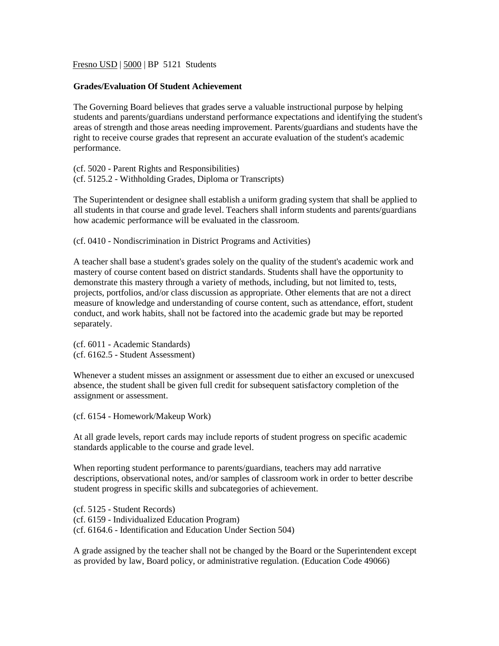Fresno USD | 5000 | BP 5121 Students

## **Grades/Evaluation Of Student Achievement**

The Governing Board believes that grades serve a valuable instructional purpose by helping students and parents/guardians understand performance expectations and identifying the student's areas of strength and those areas needing improvement. Parents/guardians and students have the right to receive course grades that represent an accurate evaluation of the student's academic performance.

(cf. 5020 - Parent Rights and Responsibilities) (cf. 5125.2 - Withholding Grades, Diploma or Transcripts)

The Superintendent or designee shall establish a uniform grading system that shall be applied to all students in that course and grade level. Teachers shall inform students and parents/guardians how academic performance will be evaluated in the classroom.

(cf. 0410 - Nondiscrimination in District Programs and Activities)

A teacher shall base a student's grades solely on the quality of the student's academic work and mastery of course content based on district standards. Students shall have the opportunity to demonstrate this mastery through a variety of methods, including, but not limited to, tests, projects, portfolios, and/or class discussion as appropriate. Other elements that are not a direct measure of knowledge and understanding of course content, such as attendance, effort, student conduct, and work habits, shall not be factored into the academic grade but may be reported separately.

(cf. 6011 - Academic Standards) (cf. 6162.5 - Student Assessment)

Whenever a student misses an assignment or assessment due to either an excused or unexcused absence, the student shall be given full credit for subsequent satisfactory completion of the assignment or assessment.

(cf. 6154 - Homework/Makeup Work)

At all grade levels, report cards may include reports of student progress on specific academic standards applicable to the course and grade level.

When reporting student performance to parents/guardians, teachers may add narrative descriptions, observational notes, and/or samples of classroom work in order to better describe student progress in specific skills and subcategories of achievement.

(cf. 5125 - Student Records) (cf. 6159 - Individualized Education Program) (cf. 6164.6 - Identification and Education Under Section 504)

A grade assigned by the teacher shall not be changed by the Board or the Superintendent except as provided by law, Board policy, or administrative regulation. (Education Code 49066)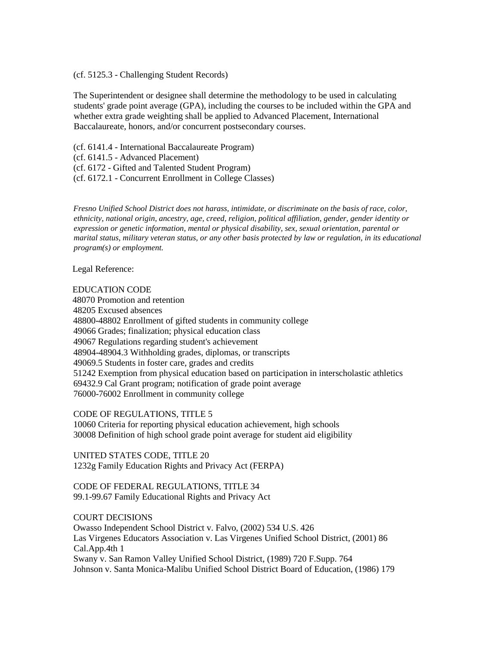## (cf. 5125.3 - Challenging Student Records)

The Superintendent or designee shall determine the methodology to be used in calculating students' grade point average (GPA), including the courses to be included within the GPA and whether extra grade weighting shall be applied to Advanced Placement, International Baccalaureate, honors, and/or concurrent postsecondary courses.

(cf. 6141.4 - International Baccalaureate Program)

(cf. 6141.5 - Advanced Placement)

(cf. 6172 - Gifted and Talented Student Program)

(cf. 6172.1 - Concurrent Enrollment in College Classes)

*Fresno Unified School District does not harass, intimidate, or discriminate on the basis of race, color, ethnicity, national origin, ancestry, age, creed, religion, political affiliation, gender, gender identity or expression or genetic information, mental or physical disability, sex, sexual orientation, parental or marital status, military veteran status, or any other basis protected by law or regulation, in its educational program(s) or employment.*

Legal Reference:

EDUCATION CODE 48070 Promotion and retention 48205 Excused absences 48800-48802 Enrollment of gifted students in community college 49066 Grades; finalization; physical education class 49067 Regulations regarding student's achievement 48904-48904.3 Withholding grades, diplomas, or transcripts 49069.5 Students in foster care, grades and credits 51242 Exemption from physical education based on participation in interscholastic athletics 69432.9 Cal Grant program; notification of grade point average 76000-76002 Enrollment in community college

CODE OF REGULATIONS, TITLE 5 10060 Criteria for reporting physical education achievement, high schools 30008 Definition of high school grade point average for student aid eligibility

UNITED STATES CODE, TITLE 20 1232g Family Education Rights and Privacy Act (FERPA)

CODE OF FEDERAL REGULATIONS, TITLE 34 99.1-99.67 Family Educational Rights and Privacy Act

COURT DECISIONS

Owasso Independent School District v. Falvo, (2002) 534 U.S. 426 Las Virgenes Educators Association v. Las Virgenes Unified School District, (2001) 86 Cal.App.4th 1 Swany v. San Ramon Valley Unified School District, (1989) 720 F.Supp. 764 Johnson v. Santa Monica-Malibu Unified School District Board of Education, (1986) 179